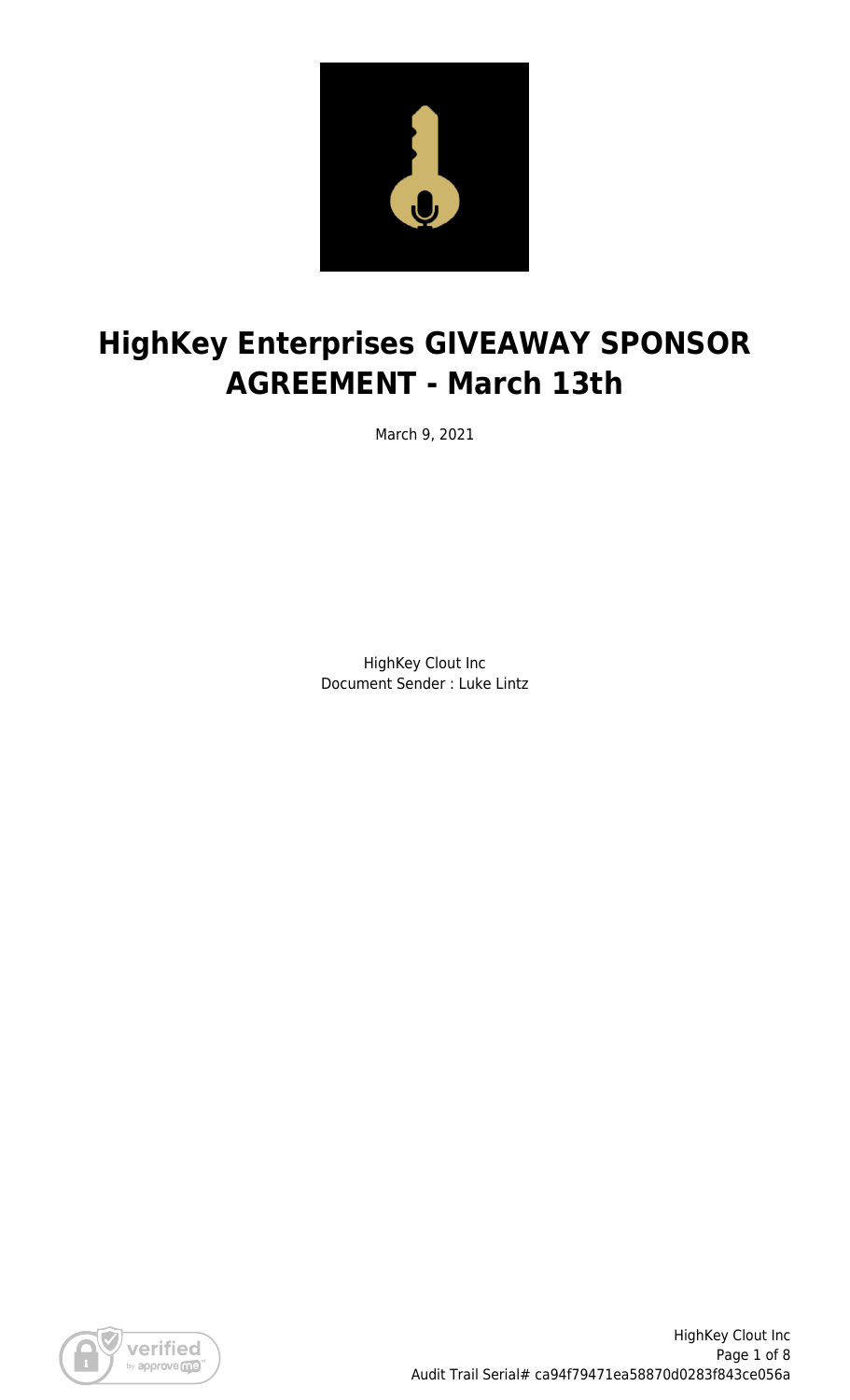

# **HighKey Enterprises GIVEAWAY SPONSOR AGREEMENT - March 13th**

March 9, 2021

HighKey Clout Inc Document Sender : Luke Lintz

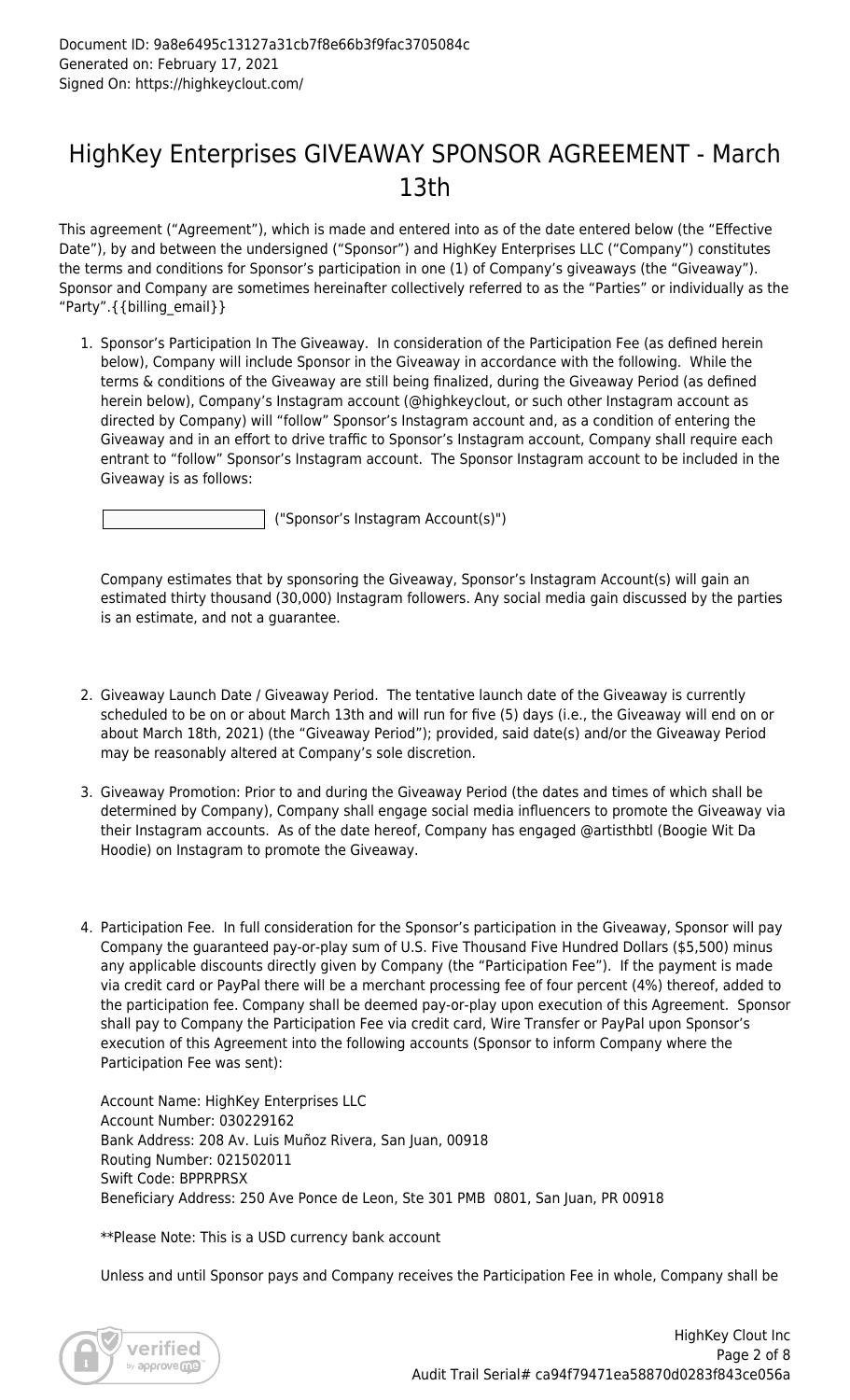### HighKey Enterprises GIVEAWAY SPONSOR AGREEMENT - March 13th

This agreement ("Agreement"), which is made and entered into as of the date entered below (the "Effective Date"), by and between the undersigned ("Sponsor") and HighKey Enterprises LLC ("Company") constitutes the terms and conditions for Sponsor's participation in one (1) of Company's giveaways (the "Giveaway"). Sponsor and Company are sometimes hereinafter collectively referred to as the "Parties" or individually as the "Party".{{billing\_email}}

1. Sponsor's Participation In The Giveaway. In consideration of the Participation Fee (as defined herein below), Company will include Sponsor in the Giveaway in accordance with the following. While the terms & conditions of the Giveaway are still being finalized, during the Giveaway Period (as defined herein below), Company's Instagram account (@highkeyclout, or such other Instagram account as directed by Company) will "follow" Sponsor's Instagram account and, as a condition of entering the Giveaway and in an effort to drive traffic to Sponsor's Instagram account, Company shall require each entrant to "follow" Sponsor's Instagram account. The Sponsor Instagram account to be included in the Giveaway is as follows:

("Sponsor's Instagram Account(s)")

Company estimates that by sponsoring the Giveaway, Sponsor's Instagram Account(s) will gain an estimated thirty thousand (30,000) Instagram followers. Any social media gain discussed by the parties is an estimate, and not a guarantee.

- 2. Giveaway Launch Date / Giveaway Period. The tentative launch date of the Giveaway is currently scheduled to be on or about March 13th and will run for five (5) days (i.e., the Giveaway will end on or about March 18th, 2021) (the "Giveaway Period"); provided, said date(s) and/or the Giveaway Period may be reasonably altered at Company's sole discretion.
- 3. Giveaway Promotion: Prior to and during the Giveaway Period (the dates and times of which shall be determined by Company), Company shall engage social media influencers to promote the Giveaway via their Instagram accounts. As of the date hereof, Company has engaged @artisthbtl (Boogie Wit Da Hoodie) on Instagram to promote the Giveaway.
- 4. Participation Fee. In full consideration for the Sponsor's participation in the Giveaway, Sponsor will pay Company the guaranteed pay-or-play sum of U.S. Five Thousand Five Hundred Dollars (\$5,500) minus any applicable discounts directly given by Company (the "Participation Fee"). If the payment is made via credit card or PayPal there will be a merchant processing fee of four percent (4%) thereof, added to the participation fee. Company shall be deemed pay-or-play upon execution of this Agreement. Sponsor shall pay to Company the Participation Fee via credit card, Wire Transfer or PayPal upon Sponsor's execution of this Agreement into the following accounts (Sponsor to inform Company where the Participation Fee was sent):

Account Name: HighKey Enterprises LLC Account Number: 030229162 Bank Address: 208 Av. Luis Muñoz Rivera, San Juan, 00918 Routing Number: 021502011 Swift Code: BPPRPRSX Beneficiary Address: 250 Ave Ponce de Leon, Ste 301 PMB 0801, San Juan, PR 00918

\*\*Please Note: This is a USD currency bank account

Unless and until Sponsor pays and Company receives the Participation Fee in whole, Company shall be

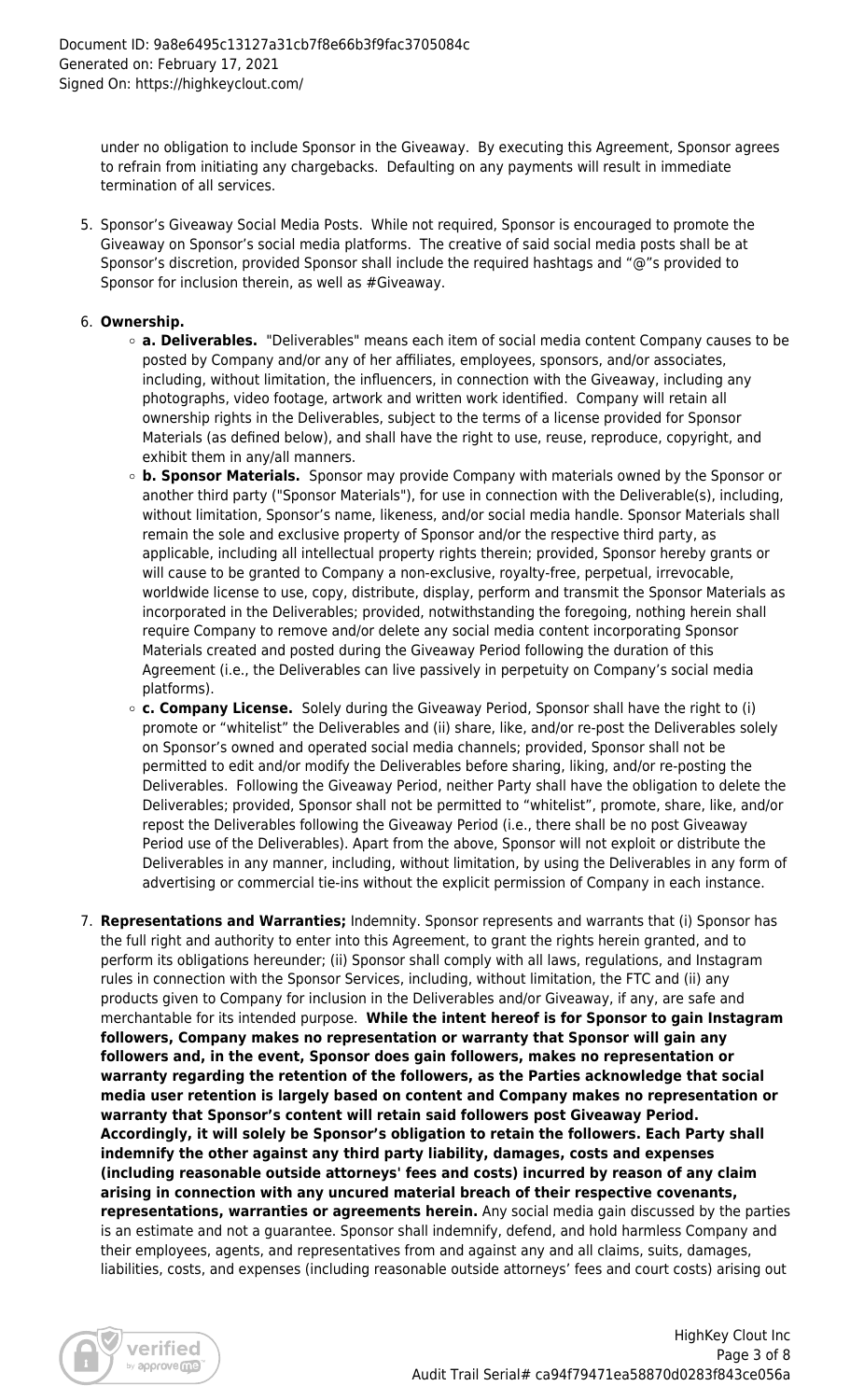under no obligation to include Sponsor in the Giveaway. By executing this Agreement, Sponsor agrees to refrain from initiating any chargebacks. Defaulting on any payments will result in immediate termination of all services.

5. Sponsor's Giveaway Social Media Posts. While not required, Sponsor is encouraged to promote the Giveaway on Sponsor's social media platforms. The creative of said social media posts shall be at Sponsor's discretion, provided Sponsor shall include the required hashtags and "@"s provided to Sponsor for inclusion therein, as well as #Giveaway.

### 6. **Ownership.**

- **a. Deliverables.** "Deliverables" means each item of social media content Company causes to be posted by Company and/or any of her affiliates, employees, sponsors, and/or associates, including, without limitation, the influencers, in connection with the Giveaway, including any photographs, video footage, artwork and written work identified. Company will retain all ownership rights in the Deliverables, subject to the terms of a license provided for Sponsor Materials (as defined below), and shall have the right to use, reuse, reproduce, copyright, and exhibit them in any/all manners.
- **b. Sponsor Materials.** Sponsor may provide Company with materials owned by the Sponsor or another third party ("Sponsor Materials"), for use in connection with the Deliverable(s), including, without limitation, Sponsor's name, likeness, and/or social media handle. Sponsor Materials shall remain the sole and exclusive property of Sponsor and/or the respective third party, as applicable, including all intellectual property rights therein; provided, Sponsor hereby grants or will cause to be granted to Company a non-exclusive, royalty-free, perpetual, irrevocable, worldwide license to use, copy, distribute, display, perform and transmit the Sponsor Materials as incorporated in the Deliverables; provided, notwithstanding the foregoing, nothing herein shall require Company to remove and/or delete any social media content incorporating Sponsor Materials created and posted during the Giveaway Period following the duration of this Agreement (i.e., the Deliverables can live passively in perpetuity on Company's social media platforms).
- **c. Company License.** Solely during the Giveaway Period, Sponsor shall have the right to (i) promote or "whitelist" the Deliverables and (ii) share, like, and/or re-post the Deliverables solely on Sponsor's owned and operated social media channels; provided, Sponsor shall not be permitted to edit and/or modify the Deliverables before sharing, liking, and/or re-posting the Deliverables. Following the Giveaway Period, neither Party shall have the obligation to delete the Deliverables; provided, Sponsor shall not be permitted to "whitelist", promote, share, like, and/or repost the Deliverables following the Giveaway Period (i.e., there shall be no post Giveaway Period use of the Deliverables). Apart from the above, Sponsor will not exploit or distribute the Deliverables in any manner, including, without limitation, by using the Deliverables in any form of advertising or commercial tie-ins without the explicit permission of Company in each instance.
- 7. **Representations and Warranties;** Indemnity. Sponsor represents and warrants that (i) Sponsor has the full right and authority to enter into this Agreement, to grant the rights herein granted, and to perform its obligations hereunder; (ii) Sponsor shall comply with all laws, regulations, and Instagram rules in connection with the Sponsor Services, including, without limitation, the FTC and (ii) any products given to Company for inclusion in the Deliverables and/or Giveaway, if any, are safe and merchantable for its intended purpose. **While the intent hereof is for Sponsor to gain Instagram followers, Company makes no representation or warranty that Sponsor will gain any followers and, in the event, Sponsor does gain followers, makes no representation or warranty regarding the retention of the followers, as the Parties acknowledge that social media user retention is largely based on content and Company makes no representation or warranty that Sponsor's content will retain said followers post Giveaway Period. Accordingly, it will solely be Sponsor's obligation to retain the followers. Each Party shall indemnify the other against any third party liability, damages, costs and expenses (including reasonable outside attorneys' fees and costs) incurred by reason of any claim arising in connection with any uncured material breach of their respective covenants, representations, warranties or agreements herein.** Any social media gain discussed by the parties is an estimate and not a guarantee. Sponsor shall indemnify, defend, and hold harmless Company and their employees, agents, and representatives from and against any and all claims, suits, damages, liabilities, costs, and expenses (including reasonable outside attorneys' fees and court costs) arising out

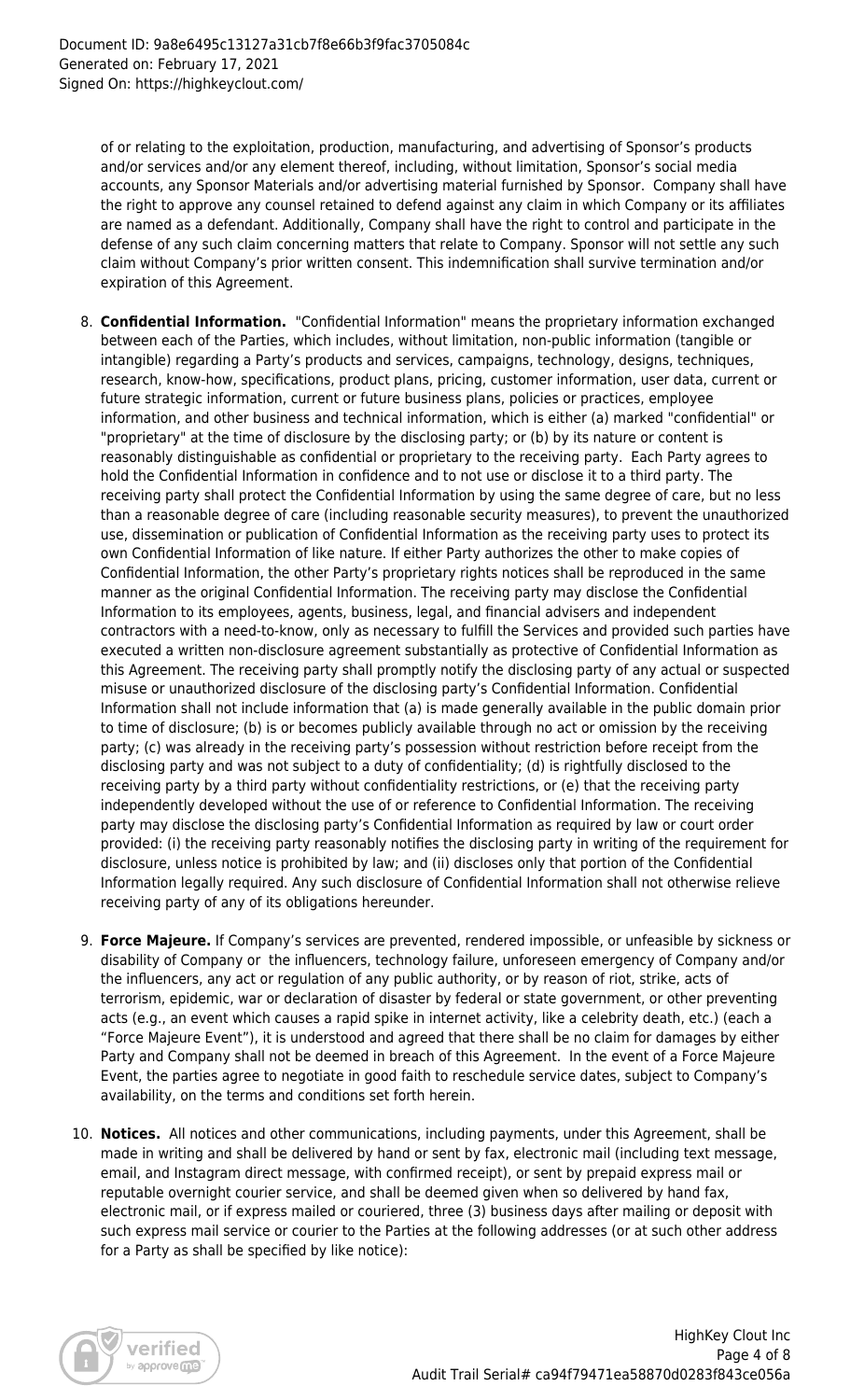of or relating to the exploitation, production, manufacturing, and advertising of Sponsor's products and/or services and/or any element thereof, including, without limitation, Sponsor's social media accounts, any Sponsor Materials and/or advertising material furnished by Sponsor. Company shall have the right to approve any counsel retained to defend against any claim in which Company or its affiliates are named as a defendant. Additionally, Company shall have the right to control and participate in the defense of any such claim concerning matters that relate to Company. Sponsor will not settle any such claim without Company's prior written consent. This indemnification shall survive termination and/or expiration of this Agreement.

- 8. **Confidential Information.** "Confidential Information" means the proprietary information exchanged between each of the Parties, which includes, without limitation, non-public information (tangible or intangible) regarding a Party's products and services, campaigns, technology, designs, techniques, research, know-how, specifications, product plans, pricing, customer information, user data, current or future strategic information, current or future business plans, policies or practices, employee information, and other business and technical information, which is either (a) marked "confidential" or "proprietary" at the time of disclosure by the disclosing party; or (b) by its nature or content is reasonably distinguishable as confidential or proprietary to the receiving party. Each Party agrees to hold the Confidential Information in confidence and to not use or disclose it to a third party. The receiving party shall protect the Confidential Information by using the same degree of care, but no less than a reasonable degree of care (including reasonable security measures), to prevent the unauthorized use, dissemination or publication of Confidential Information as the receiving party uses to protect its own Confidential Information of like nature. If either Party authorizes the other to make copies of Confidential Information, the other Party's proprietary rights notices shall be reproduced in the same manner as the original Confidential Information. The receiving party may disclose the Confidential Information to its employees, agents, business, legal, and financial advisers and independent contractors with a need-to-know, only as necessary to fulfill the Services and provided such parties have executed a written non-disclosure agreement substantially as protective of Confidential Information as this Agreement. The receiving party shall promptly notify the disclosing party of any actual or suspected misuse or unauthorized disclosure of the disclosing party's Confidential Information. Confidential Information shall not include information that (a) is made generally available in the public domain prior to time of disclosure; (b) is or becomes publicly available through no act or omission by the receiving party; (c) was already in the receiving party's possession without restriction before receipt from the disclosing party and was not subject to a duty of confidentiality; (d) is rightfully disclosed to the receiving party by a third party without confidentiality restrictions, or (e) that the receiving party independently developed without the use of or reference to Confidential Information. The receiving party may disclose the disclosing party's Confidential Information as required by law or court order provided: (i) the receiving party reasonably notifies the disclosing party in writing of the requirement for disclosure, unless notice is prohibited by law; and (ii) discloses only that portion of the Confidential Information legally required. Any such disclosure of Confidential Information shall not otherwise relieve receiving party of any of its obligations hereunder.
- 9. **Force Majeure.** If Company's services are prevented, rendered impossible, or unfeasible by sickness or disability of Company or the influencers, technology failure, unforeseen emergency of Company and/or the influencers, any act or regulation of any public authority, or by reason of riot, strike, acts of terrorism, epidemic, war or declaration of disaster by federal or state government, or other preventing acts (e.g., an event which causes a rapid spike in internet activity, like a celebrity death, etc.) (each a "Force Majeure Event"), it is understood and agreed that there shall be no claim for damages by either Party and Company shall not be deemed in breach of this Agreement. In the event of a Force Majeure Event, the parties agree to negotiate in good faith to reschedule service dates, subject to Company's availability, on the terms and conditions set forth herein.
- 10. **Notices.** All notices and other communications, including payments, under this Agreement, shall be made in writing and shall be delivered by hand or sent by fax, electronic mail (including text message, email, and Instagram direct message, with confirmed receipt), or sent by prepaid express mail or reputable overnight courier service, and shall be deemed given when so delivered by hand fax, electronic mail, or if express mailed or couriered, three (3) business days after mailing or deposit with such express mail service or courier to the Parties at the following addresses (or at such other address for a Party as shall be specified by like notice):

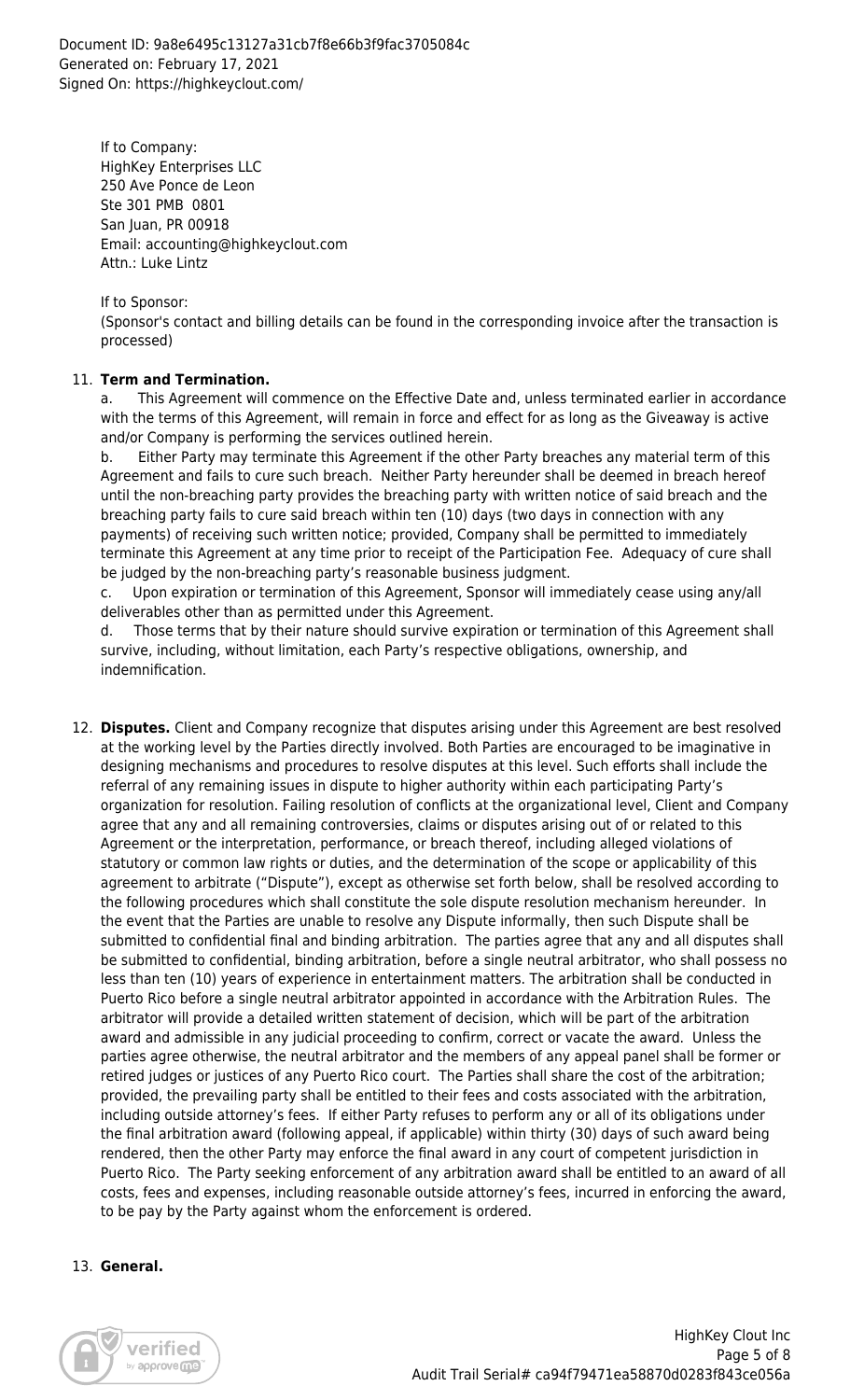Document ID: 9a8e6495c13127a31cb7f8e66b3f9fac3705084c Generated on: February 17, 2021 Signed On: https://highkeyclout.com/

If to Company: HighKey Enterprises LLC 250 Ave Ponce de Leon Ste 301 PMB 0801 San Juan, PR 00918 Email: accounting@highkeyclout.com Attn.: Luke Lintz

If to Sponsor: (Sponsor's contact and billing details can be found in the corresponding invoice after the transaction is processed)

#### 11. **Term and Termination.**

a. This Agreement will commence on the Effective Date and, unless terminated earlier in accordance with the terms of this Agreement, will remain in force and effect for as long as the Giveaway is active and/or Company is performing the services outlined herein.

b. Either Party may terminate this Agreement if the other Party breaches any material term of this Agreement and fails to cure such breach. Neither Party hereunder shall be deemed in breach hereof until the non-breaching party provides the breaching party with written notice of said breach and the breaching party fails to cure said breach within ten (10) days (two days in connection with any payments) of receiving such written notice; provided, Company shall be permitted to immediately terminate this Agreement at any time prior to receipt of the Participation Fee. Adequacy of cure shall be judged by the non-breaching party's reasonable business judgment.

c. Upon expiration or termination of this Agreement, Sponsor will immediately cease using any/all deliverables other than as permitted under this Agreement.

d. Those terms that by their nature should survive expiration or termination of this Agreement shall survive, including, without limitation, each Party's respective obligations, ownership, and indemnification.

12. **Disputes.** Client and Company recognize that disputes arising under this Agreement are best resolved at the working level by the Parties directly involved. Both Parties are encouraged to be imaginative in designing mechanisms and procedures to resolve disputes at this level. Such efforts shall include the referral of any remaining issues in dispute to higher authority within each participating Party's organization for resolution. Failing resolution of conflicts at the organizational level, Client and Company agree that any and all remaining controversies, claims or disputes arising out of or related to this Agreement or the interpretation, performance, or breach thereof, including alleged violations of statutory or common law rights or duties, and the determination of the scope or applicability of this agreement to arbitrate ("Dispute"), except as otherwise set forth below, shall be resolved according to the following procedures which shall constitute the sole dispute resolution mechanism hereunder. In the event that the Parties are unable to resolve any Dispute informally, then such Dispute shall be submitted to confidential final and binding arbitration. The parties agree that any and all disputes shall be submitted to confidential, binding arbitration, before a single neutral arbitrator, who shall possess no less than ten (10) years of experience in entertainment matters. The arbitration shall be conducted in Puerto Rico before a single neutral arbitrator appointed in accordance with the Arbitration Rules. The arbitrator will provide a detailed written statement of decision, which will be part of the arbitration award and admissible in any judicial proceeding to confirm, correct or vacate the award. Unless the parties agree otherwise, the neutral arbitrator and the members of any appeal panel shall be former or retired judges or justices of any Puerto Rico court. The Parties shall share the cost of the arbitration; provided, the prevailing party shall be entitled to their fees and costs associated with the arbitration, including outside attorney's fees. If either Party refuses to perform any or all of its obligations under the final arbitration award (following appeal, if applicable) within thirty (30) days of such award being rendered, then the other Party may enforce the final award in any court of competent jurisdiction in Puerto Rico. The Party seeking enforcement of any arbitration award shall be entitled to an award of all costs, fees and expenses, including reasonable outside attorney's fees, incurred in enforcing the award, to be pay by the Party against whom the enforcement is ordered.

#### 13. **General.**

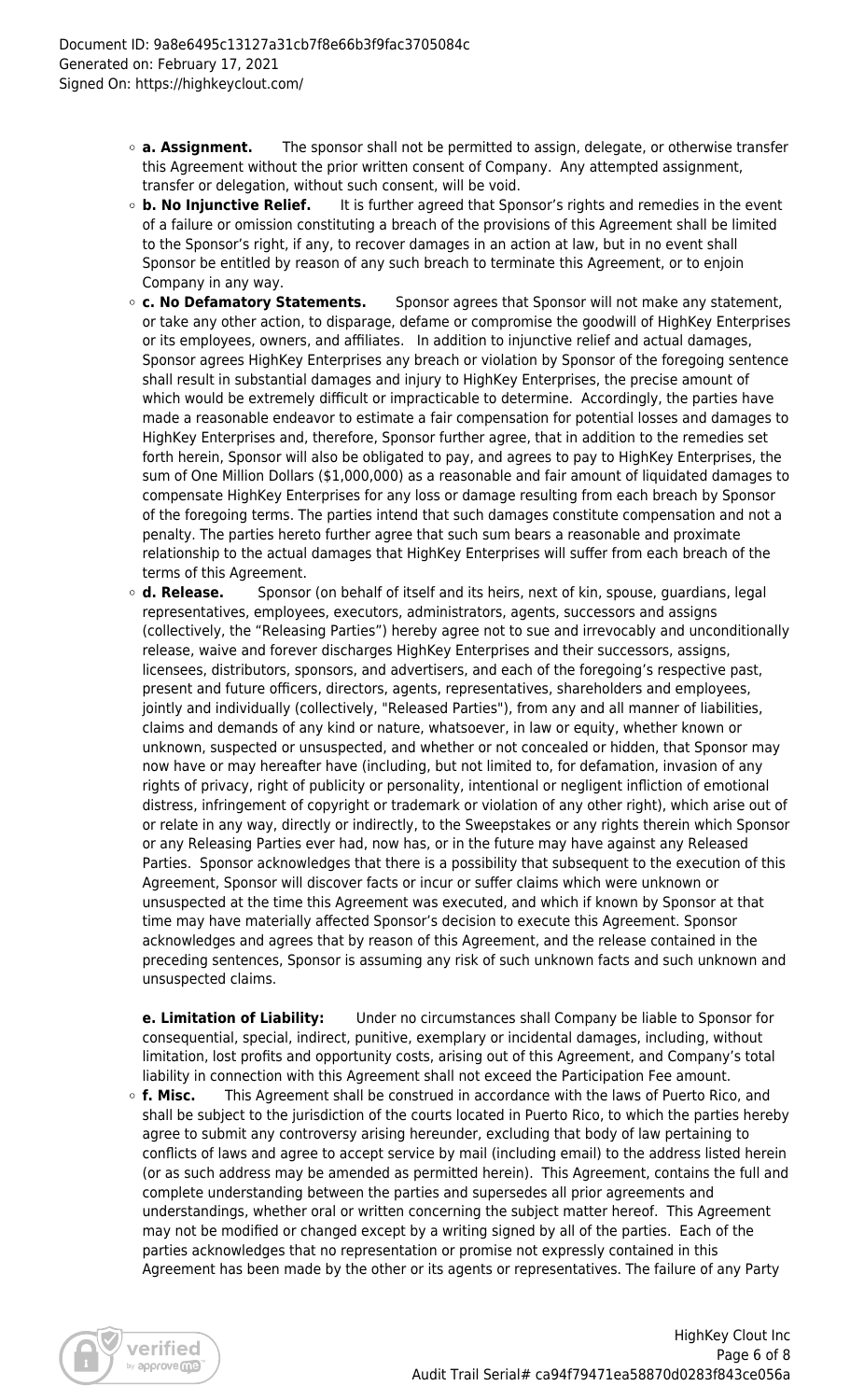- **a. Assignment.** The sponsor shall not be permitted to assign, delegate, or otherwise transfer this Agreement without the prior written consent of Company. Any attempted assignment, transfer or delegation, without such consent, will be void.
- **b. No Injunctive Relief.** It is further agreed that Sponsor's rights and remedies in the event of a failure or omission constituting a breach of the provisions of this Agreement shall be limited to the Sponsor's right, if any, to recover damages in an action at law, but in no event shall Sponsor be entitled by reason of any such breach to terminate this Agreement, or to enjoin Company in any way.
- **c. No Defamatory Statements.** Sponsor agrees that Sponsor will not make any statement, or take any other action, to disparage, defame or compromise the goodwill of HighKey Enterprises or its employees, owners, and affiliates. In addition to injunctive relief and actual damages, Sponsor agrees HighKey Enterprises any breach or violation by Sponsor of the foregoing sentence shall result in substantial damages and injury to HighKey Enterprises, the precise amount of which would be extremely difficult or impracticable to determine. Accordingly, the parties have made a reasonable endeavor to estimate a fair compensation for potential losses and damages to HighKey Enterprises and, therefore, Sponsor further agree, that in addition to the remedies set forth herein, Sponsor will also be obligated to pay, and agrees to pay to HighKey Enterprises, the sum of One Million Dollars (\$1,000,000) as a reasonable and fair amount of liquidated damages to compensate HighKey Enterprises for any loss or damage resulting from each breach by Sponsor of the foregoing terms. The parties intend that such damages constitute compensation and not a penalty. The parties hereto further agree that such sum bears a reasonable and proximate relationship to the actual damages that HighKey Enterprises will suffer from each breach of the terms of this Agreement.
- **d. Release.** Sponsor (on behalf of itself and its heirs, next of kin, spouse, guardians, legal representatives, employees, executors, administrators, agents, successors and assigns (collectively, the "Releasing Parties") hereby agree not to sue and irrevocably and unconditionally release, waive and forever discharges HighKey Enterprises and their successors, assigns, licensees, distributors, sponsors, and advertisers, and each of the foregoing's respective past, present and future officers, directors, agents, representatives, shareholders and employees, jointly and individually (collectively, "Released Parties"), from any and all manner of liabilities, claims and demands of any kind or nature, whatsoever, in law or equity, whether known or unknown, suspected or unsuspected, and whether or not concealed or hidden, that Sponsor may now have or may hereafter have (including, but not limited to, for defamation, invasion of any rights of privacy, right of publicity or personality, intentional or negligent infliction of emotional distress, infringement of copyright or trademark or violation of any other right), which arise out of or relate in any way, directly or indirectly, to the Sweepstakes or any rights therein which Sponsor or any Releasing Parties ever had, now has, or in the future may have against any Released Parties. Sponsor acknowledges that there is a possibility that subsequent to the execution of this Agreement, Sponsor will discover facts or incur or suffer claims which were unknown or unsuspected at the time this Agreement was executed, and which if known by Sponsor at that time may have materially affected Sponsor's decision to execute this Agreement. Sponsor acknowledges and agrees that by reason of this Agreement, and the release contained in the preceding sentences, Sponsor is assuming any risk of such unknown facts and such unknown and unsuspected claims.

**e. Limitation of Liability:** Under no circumstances shall Company be liable to Sponsor for consequential, special, indirect, punitive, exemplary or incidental damages, including, without limitation, lost profits and opportunity costs, arising out of this Agreement, and Company's total liability in connection with this Agreement shall not exceed the Participation Fee amount.

**f. Misc.** This Agreement shall be construed in accordance with the laws of Puerto Rico, and shall be subject to the jurisdiction of the courts located in Puerto Rico, to which the parties hereby agree to submit any controversy arising hereunder, excluding that body of law pertaining to conflicts of laws and agree to accept service by mail (including email) to the address listed herein (or as such address may be amended as permitted herein). This Agreement, contains the full and complete understanding between the parties and supersedes all prior agreements and understandings, whether oral or written concerning the subject matter hereof. This Agreement may not be modified or changed except by a writing signed by all of the parties. Each of the parties acknowledges that no representation or promise not expressly contained in this Agreement has been made by the other or its agents or representatives. The failure of any Party

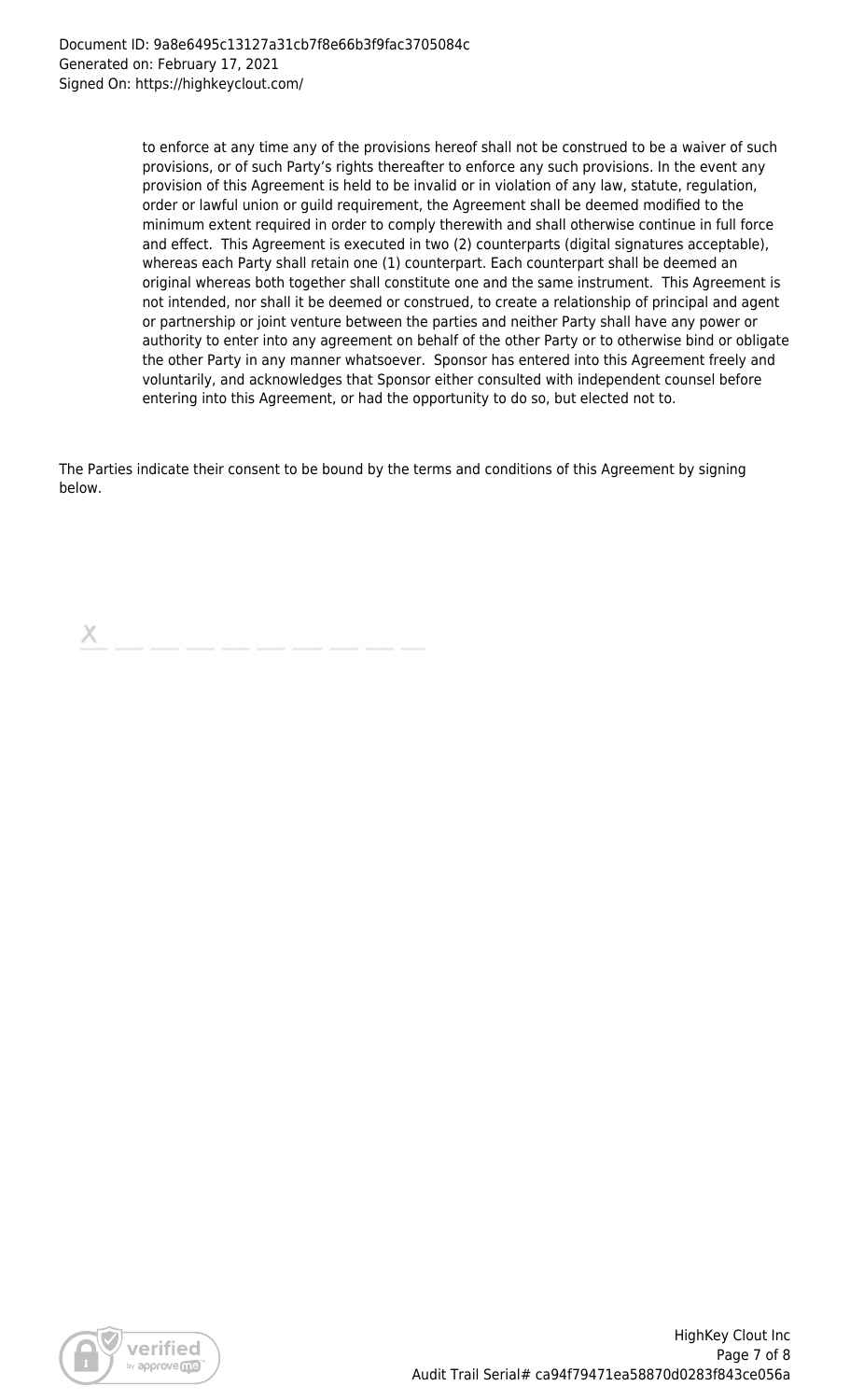to enforce at any time any of the provisions hereof shall not be construed to be a waiver of such provisions, or of such Party's rights thereafter to enforce any such provisions. In the event any provision of this Agreement is held to be invalid or in violation of any law, statute, regulation, order or lawful union or guild requirement, the Agreement shall be deemed modified to the minimum extent required in order to comply therewith and shall otherwise continue in full force and effect. This Agreement is executed in two (2) counterparts (digital signatures acceptable), whereas each Party shall retain one (1) counterpart. Each counterpart shall be deemed an original whereas both together shall constitute one and the same instrument. This Agreement is not intended, nor shall it be deemed or construed, to create a relationship of principal and agent or partnership or joint venture between the parties and neither Party shall have any power or authority to enter into any agreement on behalf of the other Party or to otherwise bind or obligate the other Party in any manner whatsoever. Sponsor has entered into this Agreement freely and voluntarily, and acknowledges that Sponsor either consulted with independent counsel before entering into this Agreement, or had the opportunity to do so, but elected not to.

The Parties indicate their consent to be bound by the terms and conditions of this Agreement by signing below.

х